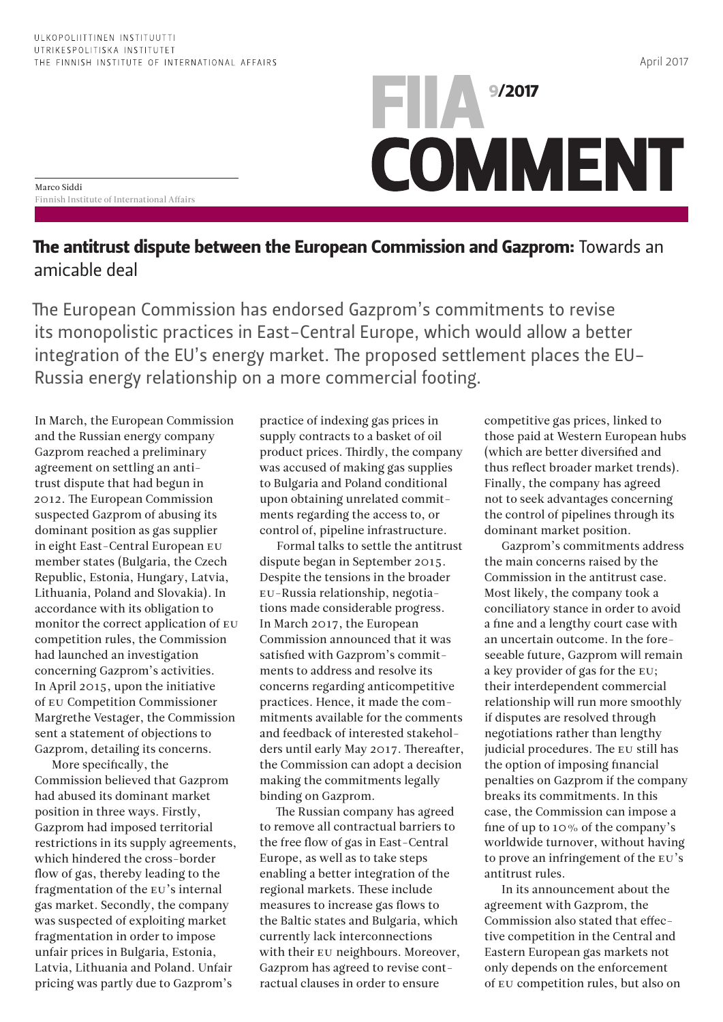## $\blacksquare$   $\blacksquare$   $\blacksquare$   $\blacksquare$   $\blacksquare$   $\blacksquare$   $\blacksquare$   $\blacksquare$   $\blacksquare$   $\blacksquare$   $\blacksquare$   $\blacksquare$   $\blacksquare$ **COMMENT**

Marco Siddi Finnish Institute of International Affairs

## The antitrust dispute between the European Commission and Gazprom: Towards an amicable deal

The European Commission has endorsed Gazprom's commitments to revise its monopolistic practices in East-Central Europe, which would allow a better integration of the EU's energy market. The proposed settlement places the EU-Russia energy relationship on a more commercial footing.

In March, the European Commission and the Russian energy company Gazprom reached a preliminary agreement on settling an antitrust dispute that had begun in 2012. The European Commission suspected Gazprom of abusing its dominant position as gas supplier in eight East-Central European EU member states (Bulgaria, the Czech Republic, Estonia, Hungary, Latvia, Lithuania, Poland and Slovakia). In accordance with its obligation to monitor the correct application of EU competition rules, the Commission had launched an investigation concerning Gazprom's activities. In April 2015, upon the initiative of EU Competition Commissioner Margrethe Vestager, the Commission sent a statement of objections to Gazprom, detailing its concerns.

More specifically, the Commission believed that Gazprom had abused its dominant market position in three ways. Firstly, Gazprom had imposed territorial restrictions in its supply agreements, which hindered the cross-border flow of gas, thereby leading to the fragmentation of the EU's internal gas market. Secondly, the company was suspected of exploiting market fragmentation in order to impose unfair prices in Bulgaria, Estonia, Latvia, Lithuania and Poland. Unfair pricing was partly due to Gazprom's

practice of indexing gas prices in supply contracts to a basket of oil product prices. Thirdly, the company was accused of making gas supplies to Bulgaria and Poland conditional upon obtaining unrelated commitments regarding the access to, or control of, pipeline infrastructure.

Formal talks to settle the antitrust dispute began in September 2015. Despite the tensions in the broader EU-Russia relationship, negotiations made considerable progress. In March 2017, the European Commission announced that it was satisfied with Gazprom's commitments to address and resolve its concerns regarding anticompetitive practices. Hence, it made the commitments available for the comments and feedback of interested stakeholders until early May 2017. Thereafter, the Commission can adopt a decision making the commitments legally binding on Gazprom.

The Russian company has agreed to remove all contractual barriers to the free flow of gas in East-Central Europe, as well as to take steps enabling a better integration of the regional markets. These include measures to increase gas flows to the Baltic states and Bulgaria, which currently lack interconnections with their EU neighbours. Moreover, Gazprom has agreed to revise contractual clauses in order to ensure

competitive gas prices, linked to those paid at Western European hubs (which are better diversified and thus reflect broader market trends). Finally, the company has agreed not to seek advantages concerning the control of pipelines through its dominant market position.

Gazprom's commitments address the main concerns raised by the Commission in the antitrust case. Most likely, the company took a conciliatory stance in order to avoid a fine and a lengthy court case with an uncertain outcome. In the foreseeable future, Gazprom will remain a key provider of gas for the EU; their interdependent commercial relationship will run more smoothly if disputes are resolved through negotiations rather than lengthy judicial procedures. The EU still has the option of imposing financial penalties on Gazprom if the company breaks its commitments. In this case, the Commission can impose a fine of up to 10% of the company's worldwide turnover, without having to prove an infringement of the EU's antitrust rules.

In its announcement about the agreement with Gazprom, the Commission also stated that effective competition in the Central and Eastern European gas markets not only depends on the enforcement of EU competition rules, but also on